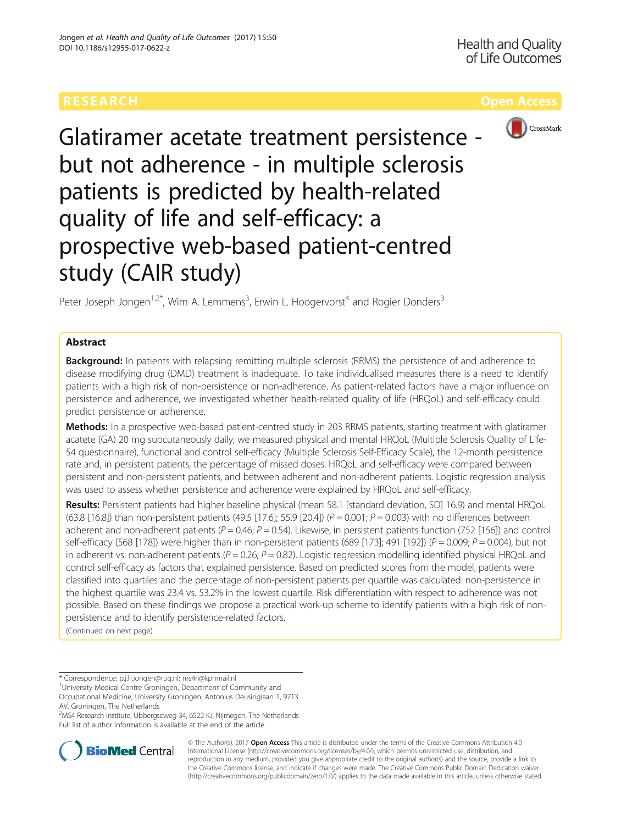

Glatiramer acetate treatment persistence but not adherence - in multiple sclerosis patients is predicted by health-related quality of life and self-efficacy: a prospective web-based patient-centred study (CAIR study)

Peter Joseph Jongen<sup>1,2\*</sup>, Wim A. Lemmens<sup>3</sup>, Erwin L. Hoogervorst<sup>4</sup> and Rogier Donders<sup>3</sup>

## Abstract

Background: In patients with relapsing remitting multiple sclerosis (RRMS) the persistence of and adherence to disease modifying drug (DMD) treatment is inadequate. To take individualised measures there is a need to identify patients with a high risk of non-persistence or non-adherence. As patient-related factors have a major influence on persistence and adherence, we investigated whether health-related quality of life (HRQoL) and self-efficacy could predict persistence or adherence.

Methods: In a prospective web-based patient-centred study in 203 RRMS patients, starting treatment with glatiramer acatete (GA) 20 mg subcutaneously daily, we measured physical and mental HRQoL (Multiple Sclerosis Quality of Life-54 questionnaire), functional and control self-efficacy (Multiple Sclerosis Self-Efficacy Scale), the 12-month persistence rate and, in persistent patients, the percentage of missed doses. HRQoL and self-efficacy were compared between persistent and non-persistent patients, and between adherent and non-adherent patients. Logistic regression analysis was used to assess whether persistence and adherence were explained by HRQoL and self-efficacy.

Results: Persistent patients had higher baseline physical (mean 58.1 [standard deviation, SD] 16.9) and mental HRQoL (63.8 [16.8]) than non-persistent patients (49.5 [17.6]; 55.9 [20.4]) ( $P = 0.001$ ;  $P = 0.003$ ) with no differences between adherent and non-adherent patients ( $P = 0.46$ ;  $P = 0.54$ ). Likewise, in persistent patients function (752 [156]) and control self-efficacy (568 [178]) were higher than in non-persistent patients (689 [173]; 491 [192]) ( $P = 0.009$ ;  $P = 0.004$ ), but not in adherent vs. non-adherent patients ( $P = 0.26$ ;  $P = 0.82$ ). Logistic regression modelling identified physical HRQoL and control self-efficacy as factors that explained persistence. Based on predicted scores from the model, patients were classified into quartiles and the percentage of non-persistent patients per quartile was calculated: non-persistence in the highest quartile was 23.4 vs. 53.2% in the lowest quartile. Risk differentiation with respect to adherence was not possible. Based on these findings we propose a practical work-up scheme to identify patients with a high risk of nonpersistence and to identify persistence-related factors.

(Continued on next page)

\* Correspondence: [p.j.h.jongen@rug.nl](mailto:p.j.h.jongen@rug.nl); [ms4ri@kpnmail.nl](mailto:ms4ri@kpnmail.nl) <sup>1</sup>

<sup>1</sup>University Medical Centre Groningen, Department of Community and Occupational Medicine, University Groningen, Antonius Deusinglaan 1, 9713 AV, Groningen, The Netherlands

2 MS4 Research Institute, Ubbergseweg 34, 6522 KJ, Nijmegen, The Netherlands Full list of author information is available at the end of the article



© The Author(s). 2017 **Open Access** This article is distributed under the terms of the Creative Commons Attribution 4.0 International License [\(http://creativecommons.org/licenses/by/4.0/](http://creativecommons.org/licenses/by/4.0/)), which permits unrestricted use, distribution, and reproduction in any medium, provided you give appropriate credit to the original author(s) and the source, provide a link to the Creative Commons license, and indicate if changes were made. The Creative Commons Public Domain Dedication waiver [\(http://creativecommons.org/publicdomain/zero/1.0/](http://creativecommons.org/publicdomain/zero/1.0/)) applies to the data made available in this article, unless otherwise stated.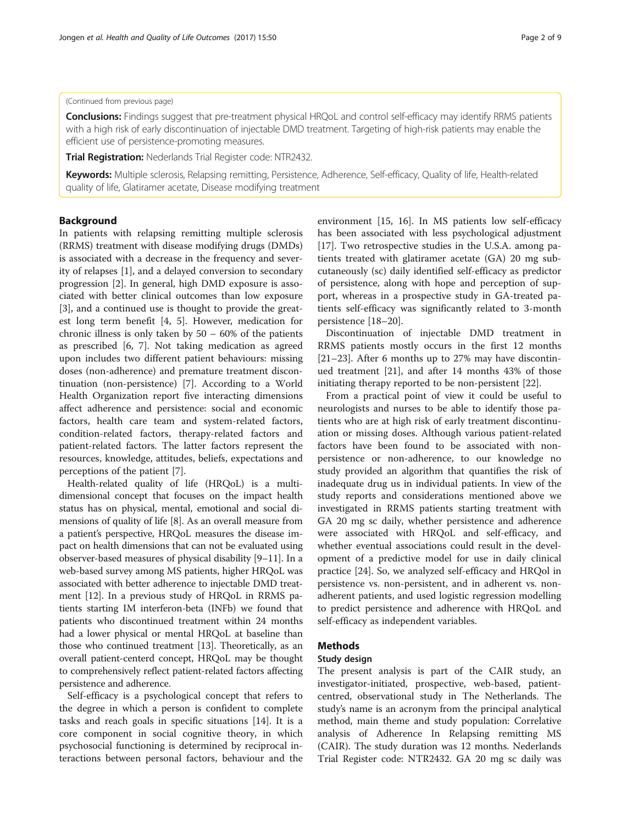## (Continued from previous page)

Conclusions: Findings suggest that pre-treatment physical HRQoL and control self-efficacy may identify RRMS patients with a high risk of early discontinuation of injectable DMD treatment. Targeting of high-risk patients may enable the efficient use of persistence-promoting measures.

Trial Registration: Nederlands Trial Register code: [NTR2432.](http://www.trialregister.nl/trialreg/admin/rctview.asp?TC=2432)

Keywords: Multiple sclerosis, Relapsing remitting, Persistence, Adherence, Self-efficacy, Quality of life, Health-related quality of life, Glatiramer acetate, Disease modifying treatment

## Background

In patients with relapsing remitting multiple sclerosis (RRMS) treatment with disease modifying drugs (DMDs) is associated with a decrease in the frequency and severity of relapses [\[1\]](#page-7-0), and a delayed conversion to secondary progression [[2\]](#page-7-0). In general, high DMD exposure is associated with better clinical outcomes than low exposure [[3\]](#page-7-0), and a continued use is thought to provide the greatest long term benefit [\[4](#page-7-0), [5](#page-7-0)]. However, medication for chronic illness is only taken by  $50 - 60\%$  of the patients as prescribed [[6, 7](#page-7-0)]. Not taking medication as agreed upon includes two different patient behaviours: missing doses (non-adherence) and premature treatment discontinuation (non-persistence) [\[7](#page-7-0)]. According to a World Health Organization report five interacting dimensions affect adherence and persistence: social and economic factors, health care team and system-related factors, condition-related factors, therapy-related factors and patient-related factors. The latter factors represent the resources, knowledge, attitudes, beliefs, expectations and perceptions of the patient [\[7](#page-7-0)].

Health-related quality of life (HRQoL) is a multidimensional concept that focuses on the impact health status has on physical, mental, emotional and social dimensions of quality of life [\[8](#page-7-0)]. As an overall measure from a patient's perspective, HRQoL measures the disease impact on health dimensions that can not be evaluated using observer-based measures of physical disability [[9](#page-7-0)–[11\]](#page-7-0). In a web-based survey among MS patients, higher HRQoL was associated with better adherence to injectable DMD treatment [[12](#page-7-0)]. In a previous study of HRQoL in RRMS patients starting IM interferon-beta (INFb) we found that patients who discontinued treatment within 24 months had a lower physical or mental HRQoL at baseline than those who continued treatment [\[13](#page-7-0)]. Theoretically, as an overall patient-centerd concept, HRQoL may be thought to comprehensively reflect patient-related factors affecting persistence and adherence.

Self-efficacy is a psychological concept that refers to the degree in which a person is confident to complete tasks and reach goals in specific situations [\[14](#page-7-0)]. It is a core component in social cognitive theory, in which psychosocial functioning is determined by reciprocal interactions between personal factors, behaviour and the environment [\[15, 16\]](#page-7-0). In MS patients low self-efficacy has been associated with less psychological adjustment [[17\]](#page-7-0). Two retrospective studies in the U.S.A. among patients treated with glatiramer acetate (GA) 20 mg subcutaneously (sc) daily identified self-efficacy as predictor of persistence, along with hope and perception of support, whereas in a prospective study in GA-treated patients self-efficacy was significantly related to 3-month persistence [\[18](#page-7-0)–[20\]](#page-8-0).

Discontinuation of injectable DMD treatment in RRMS patients mostly occurs in the first 12 months [[21](#page-8-0)–[23](#page-8-0)]. After 6 months up to 27% may have discontinued treatment [[21](#page-8-0)], and after 14 months 43% of those initiating therapy reported to be non-persistent [\[22](#page-8-0)].

From a practical point of view it could be useful to neurologists and nurses to be able to identify those patients who are at high risk of early treatment discontinuation or missing doses. Although various patient-related factors have been found to be associated with nonpersistence or non-adherence, to our knowledge no study provided an algorithm that quantifies the risk of inadequate drug us in individual patients. In view of the study reports and considerations mentioned above we investigated in RRMS patients starting treatment with GA 20 mg sc daily, whether persistence and adherence were associated with HRQoL and self-efficacy, and whether eventual associations could result in the development of a predictive model for use in daily clinical practice [\[24](#page-8-0)]. So, we analyzed self-efficacy and HRQol in persistence vs. non-persistent, and in adherent vs. nonadherent patients, and used logistic regression modelling to predict persistence and adherence with HRQoL and self-efficacy as independent variables.

## Methods

## Study design

The present analysis is part of the CAIR study, an investigator-initiated, prospective, web-based, patientcentred, observational study in The Netherlands. The study's name is an acronym from the principal analytical method, main theme and study population: Correlative analysis of Adherence In Relapsing remitting MS (CAIR). The study duration was 12 months. Nederlands Trial Register code: NTR2432. GA 20 mg sc daily was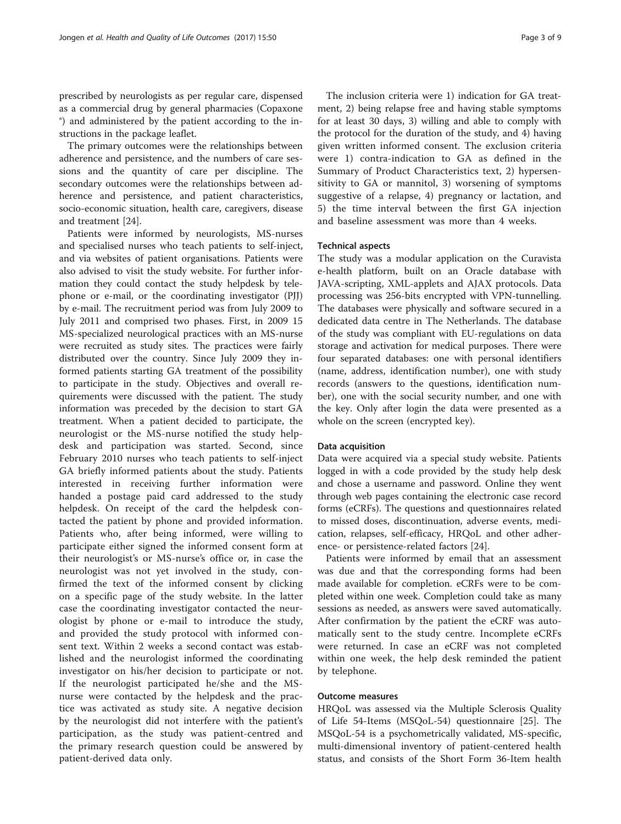prescribed by neurologists as per regular care, dispensed as a commercial drug by general pharmacies (Copaxone ®) and administered by the patient according to the instructions in the package leaflet.

The primary outcomes were the relationships between adherence and persistence, and the numbers of care sessions and the quantity of care per discipline. The secondary outcomes were the relationships between adherence and persistence, and patient characteristics, socio-economic situation, health care, caregivers, disease and treatment [[24\]](#page-8-0).

Patients were informed by neurologists, MS-nurses and specialised nurses who teach patients to self-inject, and via websites of patient organisations. Patients were also advised to visit the study website. For further information they could contact the study helpdesk by telephone or e-mail, or the coordinating investigator (PJJ) by e-mail. The recruitment period was from July 2009 to July 2011 and comprised two phases. First, in 2009 15 MS-specialized neurological practices with an MS-nurse were recruited as study sites. The practices were fairly distributed over the country. Since July 2009 they informed patients starting GA treatment of the possibility to participate in the study. Objectives and overall requirements were discussed with the patient. The study information was preceded by the decision to start GA treatment. When a patient decided to participate, the neurologist or the MS-nurse notified the study helpdesk and participation was started. Second, since February 2010 nurses who teach patients to self-inject GA briefly informed patients about the study. Patients interested in receiving further information were handed a postage paid card addressed to the study helpdesk. On receipt of the card the helpdesk contacted the patient by phone and provided information. Patients who, after being informed, were willing to participate either signed the informed consent form at their neurologist's or MS-nurse's office or, in case the neurologist was not yet involved in the study, confirmed the text of the informed consent by clicking on a specific page of the study website. In the latter case the coordinating investigator contacted the neurologist by phone or e-mail to introduce the study, and provided the study protocol with informed consent text. Within 2 weeks a second contact was established and the neurologist informed the coordinating investigator on his/her decision to participate or not. If the neurologist participated he/she and the MSnurse were contacted by the helpdesk and the practice was activated as study site. A negative decision by the neurologist did not interfere with the patient's participation, as the study was patient-centred and the primary research question could be answered by patient-derived data only.

The inclusion criteria were 1) indication for GA treatment, 2) being relapse free and having stable symptoms for at least 30 days, 3) willing and able to comply with the protocol for the duration of the study, and 4) having given written informed consent. The exclusion criteria were 1) contra-indication to GA as defined in the Summary of Product Characteristics text, 2) hypersensitivity to GA or mannitol, 3) worsening of symptoms suggestive of a relapse, 4) pregnancy or lactation, and 5) the time interval between the first GA injection and baseline assessment was more than 4 weeks.

#### Technical aspects

The study was a modular application on the Curavista e-health platform, built on an Oracle database with JAVA-scripting, XML-applets and AJAX protocols. Data processing was 256-bits encrypted with VPN-tunnelling. The databases were physically and software secured in a dedicated data centre in The Netherlands. The database of the study was compliant with EU-regulations on data storage and activation for medical purposes. There were four separated databases: one with personal identifiers (name, address, identification number), one with study records (answers to the questions, identification number), one with the social security number, and one with the key. Only after login the data were presented as a whole on the screen (encrypted key).

### Data acquisition

Data were acquired via a special study website. Patients logged in with a code provided by the study help desk and chose a username and password. Online they went through web pages containing the electronic case record forms (eCRFs). The questions and questionnaires related to missed doses, discontinuation, adverse events, medication, relapses, self-efficacy, HRQoL and other adherence- or persistence-related factors [[24](#page-8-0)].

Patients were informed by email that an assessment was due and that the corresponding forms had been made available for completion. eCRFs were to be completed within one week. Completion could take as many sessions as needed, as answers were saved automatically. After confirmation by the patient the eCRF was automatically sent to the study centre. Incomplete eCRFs were returned. In case an eCRF was not completed within one week, the help desk reminded the patient by telephone.

## Outcome measures

HRQoL was assessed via the Multiple Sclerosis Quality of Life 54-Items (MSQoL-54) questionnaire [[25\]](#page-8-0). The MSQoL-54 is a psychometrically validated, MS-specific, multi-dimensional inventory of patient-centered health status, and consists of the Short Form 36-Item health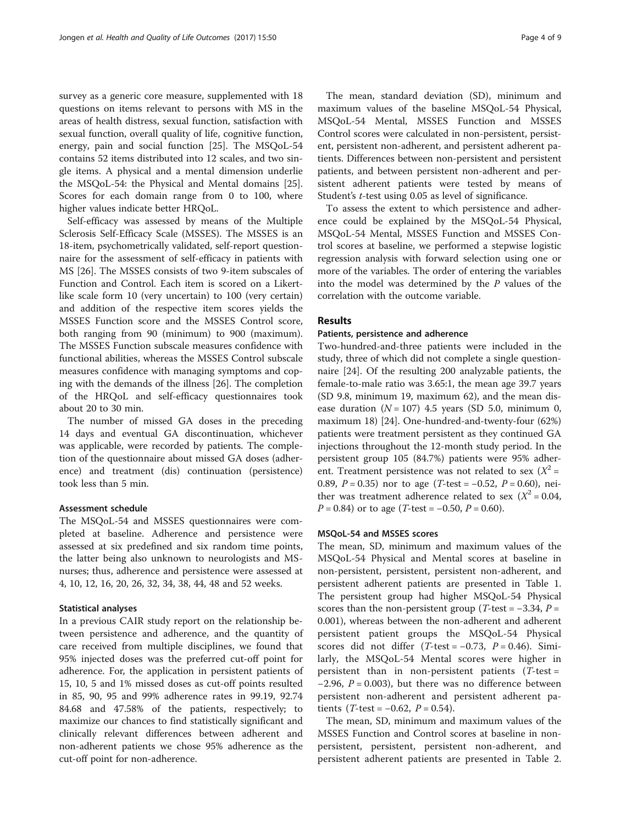survey as a generic core measure, supplemented with 18 questions on items relevant to persons with MS in the areas of health distress, sexual function, satisfaction with sexual function, overall quality of life, cognitive function, energy, pain and social function [[25](#page-8-0)]. The MSQoL-54 contains 52 items distributed into 12 scales, and two single items. A physical and a mental dimension underlie the MSQoL-54: the Physical and Mental domains [\[25](#page-8-0)]. Scores for each domain range from 0 to 100, where higher values indicate better HRQoL.

Self-efficacy was assessed by means of the Multiple Sclerosis Self-Efficacy Scale (MSSES). The MSSES is an 18-item, psychometrically validated, self-report questionnaire for the assessment of self-efficacy in patients with MS [\[26\]](#page-8-0). The MSSES consists of two 9-item subscales of Function and Control. Each item is scored on a Likertlike scale form 10 (very uncertain) to 100 (very certain) and addition of the respective item scores yields the MSSES Function score and the MSSES Control score, both ranging from 90 (minimum) to 900 (maximum). The MSSES Function subscale measures confidence with functional abilities, whereas the MSSES Control subscale measures confidence with managing symptoms and coping with the demands of the illness [[26\]](#page-8-0). The completion of the HRQoL and self-efficacy questionnaires took about 20 to 30 min.

The number of missed GA doses in the preceding 14 days and eventual GA discontinuation, whichever was applicable, were recorded by patients. The completion of the questionnaire about missed GA doses (adherence) and treatment (dis) continuation (persistence) took less than 5 min.

#### Assessment schedule

The MSQoL-54 and MSSES questionnaires were completed at baseline. Adherence and persistence were assessed at six predefined and six random time points, the latter being also unknown to neurologists and MSnurses; thus, adherence and persistence were assessed at 4, 10, 12, 16, 20, 26, 32, 34, 38, 44, 48 and 52 weeks.

### Statistical analyses

In a previous CAIR study report on the relationship between persistence and adherence, and the quantity of care received from multiple disciplines, we found that 95% injected doses was the preferred cut-off point for adherence. For, the application in persistent patients of 15, 10, 5 and 1% missed doses as cut-off points resulted in 85, 90, 95 and 99% adherence rates in 99.19, 92.74 84.68 and 47.58% of the patients, respectively; to maximize our chances to find statistically significant and clinically relevant differences between adherent and non-adherent patients we chose 95% adherence as the cut-off point for non-adherence.

The mean, standard deviation (SD), minimum and maximum values of the baseline MSQoL-54 Physical, MSQoL-54 Mental, MSSES Function and MSSES Control scores were calculated in non-persistent, persistent, persistent non-adherent, and persistent adherent patients. Differences between non-persistent and persistent patients, and between persistent non-adherent and persistent adherent patients were tested by means of Student's t-test using 0.05 as level of significance.

To assess the extent to which persistence and adherence could be explained by the MSQoL-54 Physical, MSQoL-54 Mental, MSSES Function and MSSES Control scores at baseline, we performed a stepwise logistic regression analysis with forward selection using one or more of the variables. The order of entering the variables into the model was determined by the  $P$  values of the correlation with the outcome variable.

## Results

## Patients, persistence and adherence

Two-hundred-and-three patients were included in the study, three of which did not complete a single questionnaire [\[24](#page-8-0)]. Of the resulting 200 analyzable patients, the female-to-male ratio was 3.65:1, the mean age 39.7 years (SD 9.8, minimum 19, maximum 62), and the mean disease duration  $(N = 107)$  4.5 years (SD 5.0, minimum 0, maximum 18) [[24](#page-8-0)]. One-hundred-and-twenty-four (62%) patients were treatment persistent as they continued GA injections throughout the 12-month study period. In the persistent group 105 (84.7%) patients were 95% adherent. Treatment persistence was not related to sex  $(X^2 =$ 0.89,  $P = 0.35$ ) nor to age (T-test = -0.52,  $P = 0.60$ ), neither was treatment adherence related to sex ( $X^2 = 0.04$ ,  $P = 0.84$ ) or to age (T-test = -0.50,  $P = 0.60$ ).

## MSQoL-54 and MSSES scores

The mean, SD, minimum and maximum values of the MSQoL-54 Physical and Mental scores at baseline in non-persistent, persistent, persistent non-adherent, and persistent adherent patients are presented in Table [1](#page-4-0). The persistent group had higher MSQoL-54 Physical scores than the non-persistent group ( $T$ -test =  $-3.34$ ,  $P =$ 0.001), whereas between the non-adherent and adherent persistent patient groups the MSQoL-54 Physical scores did not differ (T-test =  $-0.73$ ,  $P = 0.46$ ). Similarly, the MSQoL-54 Mental scores were higher in persistent than in non-persistent patients  $(T-test =$  $-2.96$ ,  $P = 0.003$ ), but there was no difference between persistent non-adherent and persistent adherent patients (*T*-test =  $-0.62$ , *P* = 0.54).

The mean, SD, minimum and maximum values of the MSSES Function and Control scores at baseline in nonpersistent, persistent, persistent non-adherent, and persistent adherent patients are presented in Table [2](#page-4-0).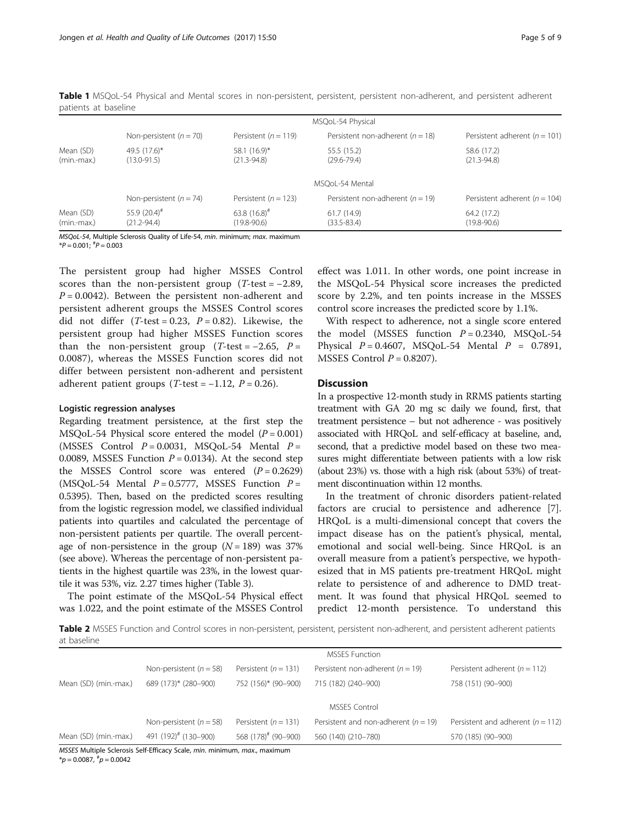|                            |                                  |                                      | MSQoL-54 Physical                    |                                   |
|----------------------------|----------------------------------|--------------------------------------|--------------------------------------|-----------------------------------|
|                            | Non-persistent ( $n = 70$ )      | Persistent ( $n = 119$ )             | Persistent non-adherent ( $n = 18$ ) | Persistent adherent ( $n = 101$ ) |
| Mean (SD)<br>(min.-max.)   | 49.5 (17.6)*<br>$(13.0 - 91.5)$  | 58.1 $(16.9)^*$<br>$(21.3 - 94.8)$   | 55.5 (15.2)<br>$(29.6 - 79.4)$       | 58.6 (17.2)<br>$(21.3 - 94.8)$    |
|                            |                                  |                                      | MSOoL-54 Mental                      |                                   |
|                            | Non-persistent ( $n = 74$ )      | Persistent ( $n = 123$ )             | Persistent non-adherent ( $n = 19$ ) | Persistent adherent ( $n = 104$ ) |
| Mean (SD)<br>$(min$ -max.) | 55.9 $(20.4)^{#}$<br>(21.2-94.4) | 63.8 $(16.8)^{#}$<br>$(19.8 - 90.6)$ | 61.7(14.9)<br>$(33.5 - 83.4)$        | 64.2 (17.2)<br>$(19.8 - 90.6)$    |

<span id="page-4-0"></span>Table 1 MSQoL-54 Physical and Mental scores in non-persistent, persistent, persistent non-adherent, and persistent adherent patients at baseline

MSQoL-54, Multiple Sclerosis Quality of Life-54, min. minimum; max. maximum

 $*P = 0.001;$   $*P = 0.003$ 

The persistent group had higher MSSES Control scores than the non-persistent group ( $T$ -test = -2.89,  $P = 0.0042$ ). Between the persistent non-adherent and persistent adherent groups the MSSES Control scores did not differ  $(T-test = 0.23, P = 0.82)$ . Likewise, the persistent group had higher MSSES Function scores than the non-persistent group (T-test =  $-2.65$ ,  $P =$ 0.0087), whereas the MSSES Function scores did not differ between persistent non-adherent and persistent adherent patient groups (T-test =  $-1.12$ ,  $P = 0.26$ ).

#### Logistic regression analyses

Regarding treatment persistence, at the first step the MSQoL-54 Physical score entered the model  $(P = 0.001)$ (MSSES Control  $P = 0.0031$ , MSQoL-54 Mental  $P =$ 0.0089, MSSES Function  $P = 0.0134$ ). At the second step the MSSES Control score was entered  $(P = 0.2629)$ (MSQoL-54 Mental  $P = 0.5777$ , MSSES Function  $P =$ 0.5395). Then, based on the predicted scores resulting from the logistic regression model, we classified individual patients into quartiles and calculated the percentage of non-persistent patients per quartile. The overall percentage of non-persistence in the group  $(N = 189)$  was 37% (see above). Whereas the percentage of non-persistent patients in the highest quartile was 23%, in the lowest quartile it was 53%, viz. 2.27 times higher (Table [3](#page-5-0)).

The point estimate of the MSQoL-54 Physical effect was 1.022, and the point estimate of the MSSES Control

effect was 1.011. In other words, one point increase in the MSQoL-54 Physical score increases the predicted score by 2.2%, and ten points increase in the MSSES control score increases the predicted score by 1.1%.

With respect to adherence, not a single score entered the model (MSSES function  $P = 0.2340$ , MSQoL-54 Physical  $P = 0.4607$ , MSQoL-54 Mental  $P = 0.7891$ , MSSES Control  $P = 0.8207$ ).

## **Discussion**

In a prospective 12-month study in RRMS patients starting treatment with GA 20 mg sc daily we found, first, that treatment persistence – but not adherence - was positively associated with HRQoL and self-efficacy at baseline, and, second, that a predictive model based on these two measures might differentiate between patients with a low risk (about 23%) vs. those with a high risk (about 53%) of treatment discontinuation within 12 months.

In the treatment of chronic disorders patient-related factors are crucial to persistence and adherence [\[7](#page-7-0)]. HRQoL is a multi-dimensional concept that covers the impact disease has on the patient's physical, mental, emotional and social well-being. Since HRQoL is an overall measure from a patient's perspective, we hypothesized that in MS patients pre-treatment HRQoL might relate to persistence of and adherence to DMD treatment. It was found that physical HRQoL seemed to predict 12-month persistence. To understand this

Table 2 MSSES Function and Control scores in non-persistent, persistent, persistent non-adherent, and persistent adherent patients at baseline

|                       |                                  |                                 | <b>MSSES Function</b>                    |                                       |
|-----------------------|----------------------------------|---------------------------------|------------------------------------------|---------------------------------------|
|                       | Non-persistent ( $n = 58$ )      | Persistent ( $n = 131$ )        | Persistent non-adherent ( $n = 19$ )     | Persistent adherent ( $n = 112$ )     |
| Mean (SD) (min.-max.) | 689 (173)* (280–900)             | 752 (156)* (90-900)             | 715 (182) (240-900)                      | 758 (151) (90-900)                    |
|                       |                                  |                                 | MSSES Control                            |                                       |
|                       | Non-persistent ( $n = 58$ )      | Persistent ( $n = 131$ )        | Persistent and non-adherent ( $n = 19$ ) | Persistent and adherent ( $n = 112$ ) |
| Mean (SD) (min.-max.) | 491 (192) <sup>#</sup> (130-900) | 568 (178) <sup>#</sup> (90-900) | 560 (140) (210-780)                      | 570 (185) (90-900)                    |

MSSES Multiple Sclerosis Self-Efficacy Scale, min. minimum, max., maximum  $*_{p}$  = 0.0087,  $*_{p}$  = 0.0042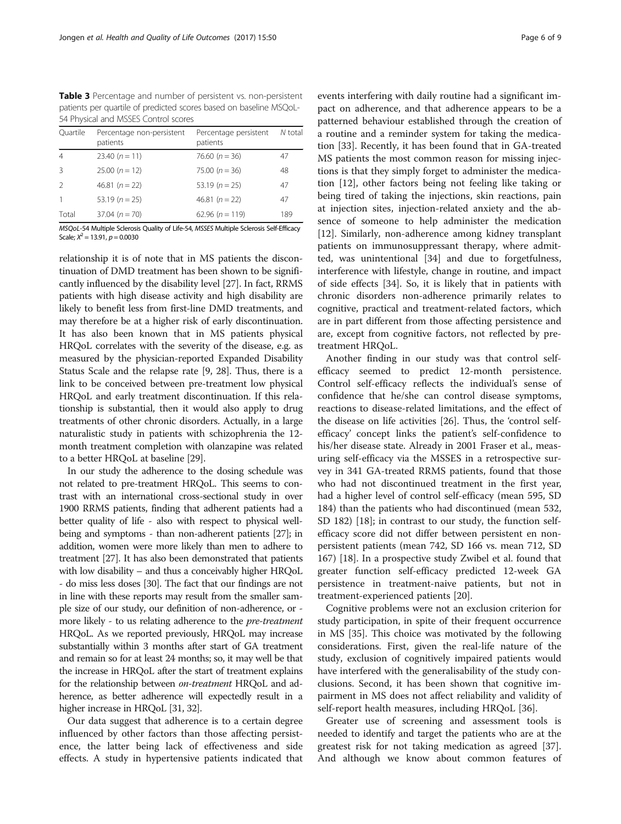<span id="page-5-0"></span>Table 3 Percentage and number of persistent vs. non-persistent patients per quartile of predicted scores based on baseline MSQoL-54 Physical and MSSES Control scores

| Ouartile      | Percentage non-persistent<br>patients | Percentage persistent<br>patients | N total |
|---------------|---------------------------------------|-----------------------------------|---------|
| 4             | 23.40 $(n = 11)$                      | 76.60 $(n = 36)$                  | 47      |
| 3             | $25.00(n = 12)$                       | 75.00 $(n = 36)$                  | 48      |
| $\mathcal{L}$ | 46.81 $(n = 22)$                      | 53.19 $(n = 25)$                  | 47      |
|               | 53.19 ( $n = 25$ )                    | 46.81 $(n = 22)$                  | 47      |
| Total         | $37.04 (n = 70)$                      | 62.96 $(n = 119)$                 | 189     |
|               |                                       |                                   |         |

MSQoL-54 Multiple Sclerosis Quality of Life-54, MSSES Multiple Sclerosis Self-Efficacy Scale;  $X^2 = 13.91$ ,  $p = 0.0030$ 

relationship it is of note that in MS patients the discontinuation of DMD treatment has been shown to be significantly influenced by the disability level [[27](#page-8-0)]. In fact, RRMS patients with high disease activity and high disability are likely to benefit less from first-line DMD treatments, and may therefore be at a higher risk of early discontinuation. It has also been known that in MS patients physical HRQoL correlates with the severity of the disease, e.g. as measured by the physician-reported Expanded Disability Status Scale and the relapse rate [[9,](#page-7-0) [28](#page-8-0)]. Thus, there is a link to be conceived between pre-treatment low physical HRQoL and early treatment discontinuation. If this relationship is substantial, then it would also apply to drug treatments of other chronic disorders. Actually, in a large naturalistic study in patients with schizophrenia the 12 month treatment completion with olanzapine was related to a better HRQoL at baseline [\[29\]](#page-8-0).

In our study the adherence to the dosing schedule was not related to pre-treatment HRQoL. This seems to contrast with an international cross-sectional study in over 1900 RRMS patients, finding that adherent patients had a better quality of life - also with respect to physical wellbeing and symptoms - than non-adherent patients [\[27](#page-8-0)]; in addition, women were more likely than men to adhere to treatment [\[27\]](#page-8-0). It has also been demonstrated that patients with low disability – and thus a conceivably higher HRQoL - do miss less doses [[30](#page-8-0)]. The fact that our findings are not in line with these reports may result from the smaller sample size of our study, our definition of non-adherence, or more likely - to us relating adherence to the pre-treatment HRQoL. As we reported previously, HRQoL may increase substantially within 3 months after start of GA treatment and remain so for at least 24 months; so, it may well be that the increase in HRQoL after the start of treatment explains for the relationship between *on-treatment* HRQoL and adherence, as better adherence will expectedly result in a higher increase in HRQoL [\[31, 32\]](#page-8-0).

Our data suggest that adherence is to a certain degree influenced by other factors than those affecting persistence, the latter being lack of effectiveness and side effects. A study in hypertensive patients indicated that

events interfering with daily routine had a significant impact on adherence, and that adherence appears to be a patterned behaviour established through the creation of a routine and a reminder system for taking the medication [\[33](#page-8-0)]. Recently, it has been found that in GA-treated MS patients the most common reason for missing injections is that they simply forget to administer the medication [\[12](#page-7-0)], other factors being not feeling like taking or being tired of taking the injections, skin reactions, pain at injection sites, injection-related anxiety and the absence of someone to help administer the medication [[12\]](#page-7-0). Similarly, non-adherence among kidney transplant patients on immunosuppressant therapy, where admitted, was unintentional [\[34\]](#page-8-0) and due to forgetfulness, interference with lifestyle, change in routine, and impact of side effects [\[34](#page-8-0)]. So, it is likely that in patients with chronic disorders non-adherence primarily relates to cognitive, practical and treatment-related factors, which are in part different from those affecting persistence and are, except from cognitive factors, not reflected by pretreatment HRQoL.

Another finding in our study was that control selfefficacy seemed to predict 12-month persistence. Control self-efficacy reflects the individual's sense of confidence that he/she can control disease symptoms, reactions to disease-related limitations, and the effect of the disease on life activities [\[26](#page-8-0)]. Thus, the 'control selfefficacy' concept links the patient's self-confidence to his/her disease state. Already in 2001 Fraser et al., measuring self-efficacy via the MSSES in a retrospective survey in 341 GA-treated RRMS patients, found that those who had not discontinued treatment in the first year, had a higher level of control self-efficacy (mean 595, SD 184) than the patients who had discontinued (mean 532, SD 182) [[18\]](#page-7-0); in contrast to our study, the function selfefficacy score did not differ between persistent en nonpersistent patients (mean 742, SD 166 vs. mean 712, SD 167) [[18\]](#page-7-0). In a prospective study Zwibel et al. found that greater function self-efficacy predicted 12-week GA persistence in treatment-naive patients, but not in treatment-experienced patients [\[20](#page-8-0)].

Cognitive problems were not an exclusion criterion for study participation, in spite of their frequent occurrence in MS [\[35](#page-8-0)]. This choice was motivated by the following considerations. First, given the real-life nature of the study, exclusion of cognitively impaired patients would have interfered with the generalisability of the study conclusions. Second, it has been shown that cognitive impairment in MS does not affect reliability and validity of self-report health measures, including HRQoL [[36](#page-8-0)].

Greater use of screening and assessment tools is needed to identify and target the patients who are at the greatest risk for not taking medication as agreed [\[37](#page-8-0)]. And although we know about common features of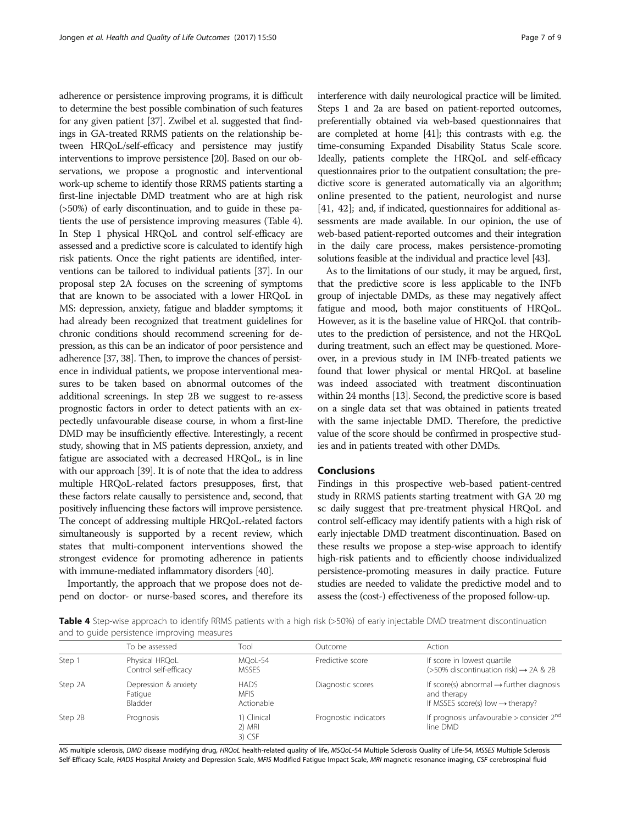adherence or persistence improving programs, it is difficult to determine the best possible combination of such features for any given patient [\[37](#page-8-0)]. Zwibel et al. suggested that findings in GA-treated RRMS patients on the relationship between HRQoL/self-efficacy and persistence may justify interventions to improve persistence [\[20\]](#page-8-0). Based on our observations, we propose a prognostic and interventional work-up scheme to identify those RRMS patients starting a first-line injectable DMD treatment who are at high risk (>50%) of early discontinuation, and to guide in these patients the use of persistence improving measures (Table 4). In Step 1 physical HRQoL and control self-efficacy are assessed and a predictive score is calculated to identify high risk patients. Once the right patients are identified, interventions can be tailored to individual patients [\[37](#page-8-0)]. In our proposal step 2A focuses on the screening of symptoms that are known to be associated with a lower HRQoL in MS: depression, anxiety, fatigue and bladder symptoms; it had already been recognized that treatment guidelines for chronic conditions should recommend screening for depression, as this can be an indicator of poor persistence and adherence [\[37, 38](#page-8-0)]. Then, to improve the chances of persistence in individual patients, we propose interventional measures to be taken based on abnormal outcomes of the additional screenings. In step 2B we suggest to re-assess prognostic factors in order to detect patients with an expectedly unfavourable disease course, in whom a first-line DMD may be insufficiently effective. Interestingly, a recent study, showing that in MS patients depression, anxiety, and fatigue are associated with a decreased HRQoL, is in line with our approach [[39\]](#page-8-0). It is of note that the idea to address multiple HRQoL-related factors presupposes, first, that these factors relate causally to persistence and, second, that positively influencing these factors will improve persistence. The concept of addressing multiple HRQoL-related factors simultaneously is supported by a recent review, which states that multi-component interventions showed the strongest evidence for promoting adherence in patients with immune-mediated inflammatory disorders [\[40](#page-8-0)].

Importantly, the approach that we propose does not depend on doctor- or nurse-based scores, and therefore its interference with daily neurological practice will be limited. Steps 1 and 2a are based on patient-reported outcomes, preferentially obtained via web-based questionnaires that are completed at home [\[41](#page-8-0)]; this contrasts with e.g. the time-consuming Expanded Disability Status Scale score. Ideally, patients complete the HRQoL and self-efficacy questionnaires prior to the outpatient consultation; the predictive score is generated automatically via an algorithm; online presented to the patient, neurologist and nurse [[41, 42](#page-8-0)]; and, if indicated, questionnaires for additional assessments are made available. In our opinion, the use of web-based patient-reported outcomes and their integration

solutions feasible at the individual and practice level [\[43\]](#page-8-0). As to the limitations of our study, it may be argued, first, that the predictive score is less applicable to the INFb group of injectable DMDs, as these may negatively affect fatigue and mood, both major constituents of HRQoL. However, as it is the baseline value of HRQoL that contributes to the prediction of persistence, and not the HRQoL during treatment, such an effect may be questioned. Moreover, in a previous study in IM INFb-treated patients we found that lower physical or mental HRQoL at baseline was indeed associated with treatment discontinuation within 24 months [\[13\]](#page-7-0). Second, the predictive score is based on a single data set that was obtained in patients treated with the same injectable DMD. Therefore, the predictive value of the score should be confirmed in prospective studies and in patients treated with other DMDs.

in the daily care process, makes persistence-promoting

## Conclusions

Findings in this prospective web-based patient-centred study in RRMS patients starting treatment with GA 20 mg sc daily suggest that pre-treatment physical HRQoL and control self-efficacy may identify patients with a high risk of early injectable DMD treatment discontinuation. Based on these results we propose a step-wise approach to identify high-risk patients and to efficiently choose individualized persistence-promoting measures in daily practice. Future studies are needed to validate the predictive model and to assess the (cost-) effectiveness of the proposed follow-up.

**Table 4** Step-wise approach to identify RRMS patients with a high risk (>50%) of early injectable DMD treatment discontinuation and to guide persistence improving measures

|         | To be assessed                             | Tool                                     | Outcome               | Action                                                                                                              |
|---------|--------------------------------------------|------------------------------------------|-----------------------|---------------------------------------------------------------------------------------------------------------------|
| Step 1  | Physical HRQoL<br>Control self-efficacy    | MOoL-54<br><b>MSSES</b>                  | Predictive score      | If score in lowest quartile<br>$($ >50% discontinuation risk) $\rightarrow$ 2A & 2B                                 |
| Step 2A | Depression & anxiety<br>Fatigue<br>Bladder | <b>HADS</b><br><b>MFIS</b><br>Actionable | Diagnostic scores     | If score(s) abnormal $\rightarrow$ further diagnosis<br>and therapy<br>If MSSES score(s) low $\rightarrow$ therapy? |
| Step 2B | Prognosis                                  | 1) Clinical<br>2) MRI<br>3) CSF          | Prognostic indicators | If prognosis unfavourable > consider $2^{nd}$<br>line DMD                                                           |

MS multiple sclerosis, DMD disease modifying drug, HRQoL health-related quality of life, MSQoL-54 Multiple Sclerosis Quality of Life-54, MSSES Multiple Sclerosis Self-Efficacy Scale, HADS Hospital Anxiety and Depression Scale, MFIS Modified Fatigue Impact Scale, MRI magnetic resonance imaging, CSF cerebrospinal fluid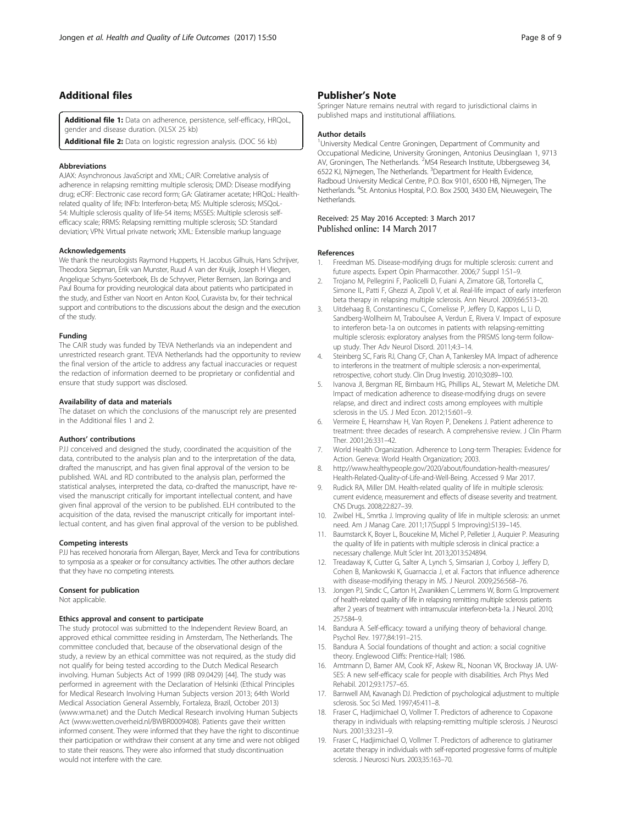## <span id="page-7-0"></span>Additional files

[Additional file 1:](dx.doi.org/10.1186/s12955-017-0622-z) Data on adherence, persistence, self-efficacy, HRQoL, gender and disease duration. (XLSX 25 kb)

[Additional file 2:](dx.doi.org/10.1186/s12955-017-0622-z) Data on logistic regression analysis. (DOC 56 kb)

#### Abbreviations

AJAX: Asynchronous JavaScript and XML; CAIR: Correlative analysis of adherence in relapsing remitting multiple sclerosis; DMD: Disease modifying drug; eCRF: Electronic case record form; GA: Glatiramer acetate; HRQoL: Healthrelated quality of life; INFb: Interferon-beta; MS: Multiple sclerosis; MSQoL-54: Multiple sclerosis quality of life-54 items; MSSES: Multiple sclerosis selfefficacy scale; RRMS: Relapsing remitting multiple sclerosis; SD: Standard deviation; VPN: Virtual private network; XML: Extensible markup language

#### Acknowledgements

We thank the neurologists Raymond Hupperts, H. Jacobus Gilhuis, Hans Schrijver, Theodora Siepman, Erik van Munster, Ruud A van der Kruijk, Joseph H Vliegen, Angelique Schyns-Soeterboek, Els de Schryver, Pieter Bernsen, Jan Boringa and Paul Bouma for providing neurological data about patients who participated in the study, and Esther van Noort en Anton Kool, Curavista bv, for their technical support and contributions to the discussions about the design and the execution of the study.

## Funding

The CAIR study was funded by TEVA Netherlands via an independent and unrestricted research grant. TEVA Netherlands had the opportunity to review the final version of the article to address any factual inaccuracies or request the redaction of information deemed to be proprietary or confidential and ensure that study support was disclosed.

#### Availability of data and materials

The dataset on which the conclusions of the manuscript rely are presented in the Additional files 1 and 2.

#### Authors' contributions

PJJ conceived and designed the study, coordinated the acquisition of the data, contributed to the analysis plan and to the interpretation of the data, drafted the manuscript, and has given final approval of the version to be published. WAL and RD contributed to the analysis plan, performed the statistical analyses, interpreted the data, co-drafted the manuscript, have revised the manuscript critically for important intellectual content, and have given final approval of the version to be published. ELH contributed to the acquisition of the data, revised the manuscript critically for important intellectual content, and has given final approval of the version to be published.

#### Competing interests

PJJ has received honoraria from Allergan, Bayer, Merck and Teva for contributions to symposia as a speaker or for consultancy activities. The other authors declare that they have no competing interests.

#### Consent for publication

Not applicable.

#### Ethics approval and consent to participate

The study protocol was submitted to the Independent Review Board, an approved ethical committee residing in Amsterdam, The Netherlands. The committee concluded that, because of the observational design of the study, a review by an ethical committee was not required, as the study did not qualify for being tested according to the Dutch Medical Research involving. Human Subjects Act of 1999 (IRB 09.0429) [\[44\]](#page-8-0). The study was performed in agreement with the Declaration of Helsinki (Ethical Principles for Medical Research Involving Human Subjects version 2013; 64th World Medical Association General Assembly, Fortaleza, Brazil, October 2013) ([www.wma.net](http://www.wma.net/)) and the Dutch Medical Research involving Human Subjects Act ([www.wetten.overheid.nl/BWBR0009408\)](http://www.wetten.overheid.nl/BWBR0009408). Patients gave their written informed consent. They were informed that they have the right to discontinue their participation or withdraw their consent at any time and were not obliged to state their reasons. They were also informed that study discontinuation would not interfere with the care.

## Publisher's Note

Springer Nature remains neutral with regard to jurisdictional claims in published maps and institutional affiliations.

#### Author details

<sup>1</sup>University Medical Centre Groningen, Department of Community and Occupational Medicine, University Groningen, Antonius Deusinglaan 1, 9713 AV, Groningen, The Netherlands. <sup>2</sup>MS4 Research Institute, Ubbergseweg 34, 6522 KJ, Nijmegen, The Netherlands. <sup>3</sup>Department for Health Evidence Radboud University Medical Centre, P.O. Box 9101, 6500 HB, Nijmegen, The Netherlands. <sup>4</sup>St. Antonius Hospital, P.O. Box 2500, 3430 EM, Nieuwegein, The Netherlands.

# Received: 25 May 2016 Accepted: 3 March 2017<br>Published online: 14 March 2017

#### References

- 1. Freedman MS. Disease-modifying drugs for multiple sclerosis: current and future aspects. Expert Opin Pharmacother. 2006;7 Suppl 1:S1–9.
- 2. Trojano M, Pellegrini F, Paolicelli D, Fuiani A, Zimatore GB, Tortorella C, Simone IL, Patti F, Ghezzi A, Zipoli V, et al. Real-life impact of early interferon beta therapy in relapsing multiple sclerosis. Ann Neurol. 2009;66:513–20.
- 3. Uitdehaag B, Constantinescu C, Cornelisse P, Jeffery D, Kappos L, Li D, Sandberg-Wollheim M, Traboulsee A, Verdun E, Rivera V. Impact of exposure to interferon beta-1a on outcomes in patients with relapsing-remitting multiple sclerosis: exploratory analyses from the PRISMS long-term followup study. Ther Adv Neurol Disord. 2011;4:3–14.
- 4. Steinberg SC, Faris RJ, Chang CF, Chan A, Tankersley MA. Impact of adherence to interferons in the treatment of multiple sclerosis: a non-experimental, retrospective, cohort study. Clin Drug Investig. 2010;30:89–100.
- 5. Ivanova JI, Bergman RE, Birnbaum HG, Phillips AL, Stewart M, Meletiche DM. Impact of medication adherence to disease-modifying drugs on severe relapse, and direct and indirect costs among employees with multiple sclerosis in the US. J Med Econ. 2012;15:601–9.
- 6. Vermeire E, Hearnshaw H, Van Royen P, Denekens J. Patient adherence to treatment: three decades of research. A comprehensive review. J Clin Pharm Ther. 2001;26:331–42.
- 7. World Health Organization. Adherence to Long-term Therapies: Evidence for Action. Geneva: World Health Organization; 2003.
- 8. [http://www.healthypeople.gov/2020/about/foundation-health-measures/](http://www.healthypeople.gov/2020/about/foundation-health-measures/Health-Related-Quality-of-Life-and-Well-Being) [Health-Related-Quality-of-Life-and-Well-Being](http://www.healthypeople.gov/2020/about/foundation-health-measures/Health-Related-Quality-of-Life-and-Well-Being). Accessed 9 Mar 2017.
- Rudick RA, Miller DM. Health-related quality of life in multiple sclerosis: current evidence, measurement and effects of disease severity and treatment. CNS Drugs. 2008;22:827–39.
- 10. Zwibel HL, Smrtka J. Improving quality of life in multiple sclerosis: an unmet need. Am J Manag Care. 2011;17(Suppl 5 Improving):S139–145.
- 11. Baumstarck K, Boyer L, Boucekine M, Michel P, Pelletier J, Auquier P. Measuring the quality of life in patients with multiple sclerosis in clinical practice: a necessary challenge. Mult Scler Int. 2013;2013:524894.
- 12. Treadaway K, Cutter G, Salter A, Lynch S, Simsarian J, Corboy J, Jeffery D, Cohen B, Mankowski K, Guarnaccia J, et al. Factors that influence adherence with disease-modifying therapy in MS. J Neurol. 2009;256:568–76.
- 13. Jongen PJ, Sindic C, Carton H, Zwanikken C, Lemmens W, Borm G. Improvement of health-related quality of life in relapsing remitting multiple sclerosis patients after 2 years of treatment with intramuscular interferon-beta-1a. J Neurol. 2010; 257:584–9.
- 14. Bandura A. Self-efficacy: toward a unifying theory of behavioral change. Psychol Rev. 1977;84:191–215.
- 15. Bandura A. Social foundations of thought and action: a social cognitive theory. Englewood Cliffs: Prentice-Hall; 1986.
- 16. Amtmann D, Bamer AM, Cook KF, Askew RL, Noonan VK, Brockway JA. UW-SES: A new self-efficacy scale for people with disabilities. Arch Phys Med Rehabil. 2012;93:1757–65.
- 17. Barnwell AM, Kavanagh DJ. Prediction of psychological adjustment to multiple sclerosis. Soc Sci Med. 1997;45:411–8.
- 18. Fraser C, Hadjimichael O, Vollmer T. Predictors of adherence to Copaxone therapy in individuals with relapsing-remitting multiple sclerosis. J Neurosci Nurs. 2001;33:231–9.
- 19. Fraser C, Hadjimichael O, Vollmer T. Predictors of adherence to glatiramer acetate therapy in individuals with self-reported progressive forms of multiple sclerosis. J Neurosci Nurs. 2003;35:163–70.